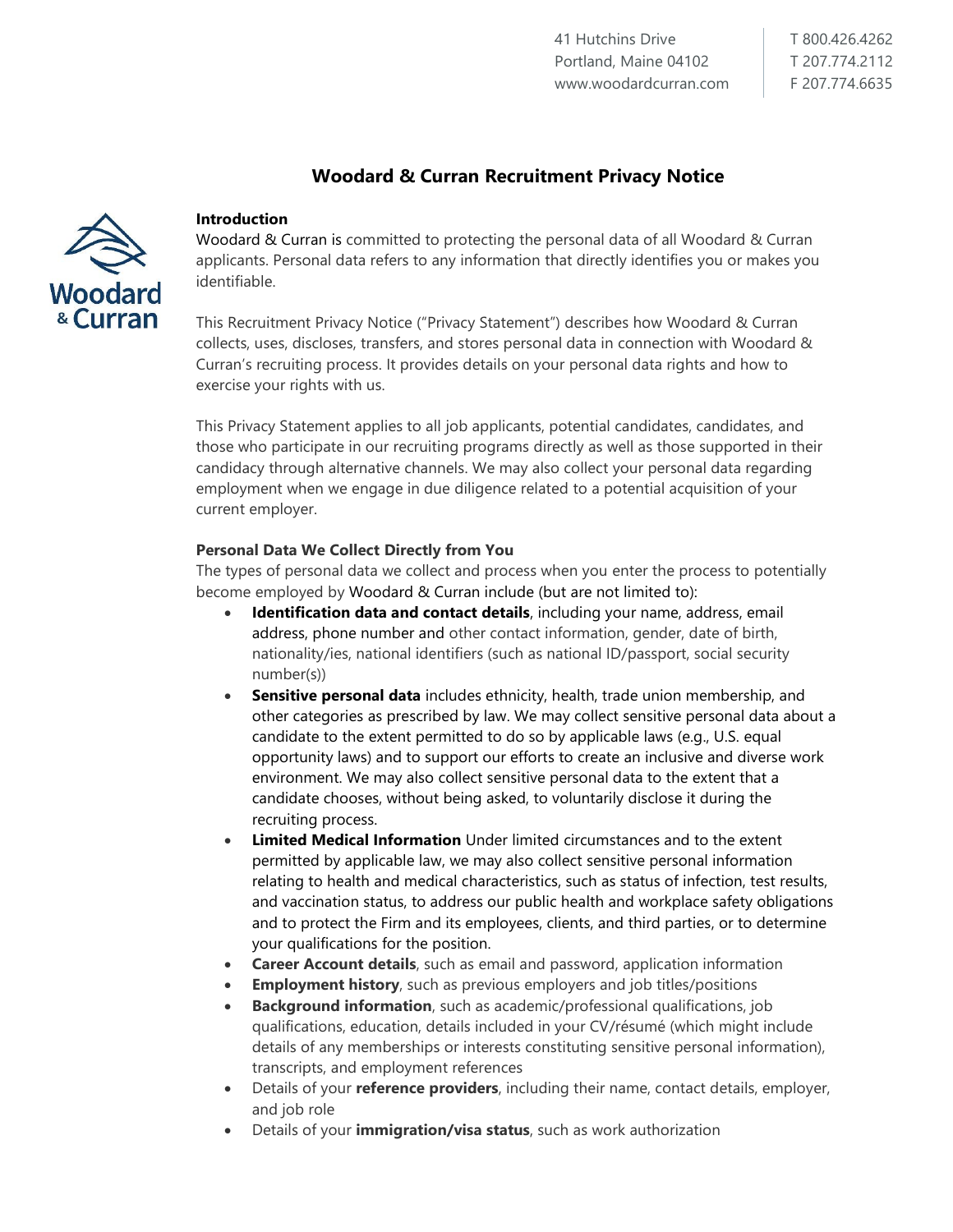T 800.426.4262 T 207.774.2112 F 207.774.6635

# **Woodard & Curran Recruitment Privacy Notice**



#### **Introduction**

Woodard & Curran is committed to protecting the personal data of all Woodard & Curran applicants. Personal data refers to any information that directly identifies you or makes you identifiable.

This Recruitment Privacy Notice ("Privacy Statement") describes how Woodard & Curran collects, uses, discloses, transfers, and stores personal data in connection with Woodard & Curran's recruiting process. It provides details on your personal data rights and how to exercise your rights with us.

This Privacy Statement applies to all job applicants, potential candidates, candidates, and those who participate in our recruiting programs directly as well as those supported in their candidacy through alternative channels. We may also collect your personal data regarding employment when we engage in due diligence related to a potential acquisition of your current employer.

#### **Personal Data We Collect Directly from You**

The types of personal data we collect and process when you enter the process to potentially become employed by Woodard & Curran include (but are not limited to):

- **Identification data and contact details**, including your name, address, email address, phone number and other contact information, gender, date of birth, nationality/ies, national identifiers (such as national ID/passport, social security number(s))
- **Sensitive personal data** includes ethnicity, health, trade union membership, and other categories as prescribed by law. We may collect sensitive personal data about a candidate to the extent permitted to do so by applicable laws (e.g., U.S. equal opportunity laws) and to support our efforts to create an inclusive and diverse work environment. We may also collect sensitive personal data to the extent that a candidate chooses, without being asked, to voluntarily disclose it during the recruiting process.
- **Limited Medical Information** Under limited circumstances and to the extent permitted by applicable law, we may also collect sensitive personal information relating to health and medical characteristics, such as status of infection, test results, and vaccination status, to address our public health and workplace safety obligations and to protect the Firm and its employees, clients, and third parties, or to determine your qualifications for the position.
- **Career Account details**, such as email and password, application information
- **Employment history**, such as previous employers and job titles/positions
- **Background information**, such as academic/professional qualifications, job qualifications, education, details included in your CV/résumé (which might include details of any memberships or interests constituting sensitive personal information), transcripts, and employment references
- Details of your **reference providers**, including their name, contact details, employer, and job role
- Details of your **immigration/visa status**, such as work authorization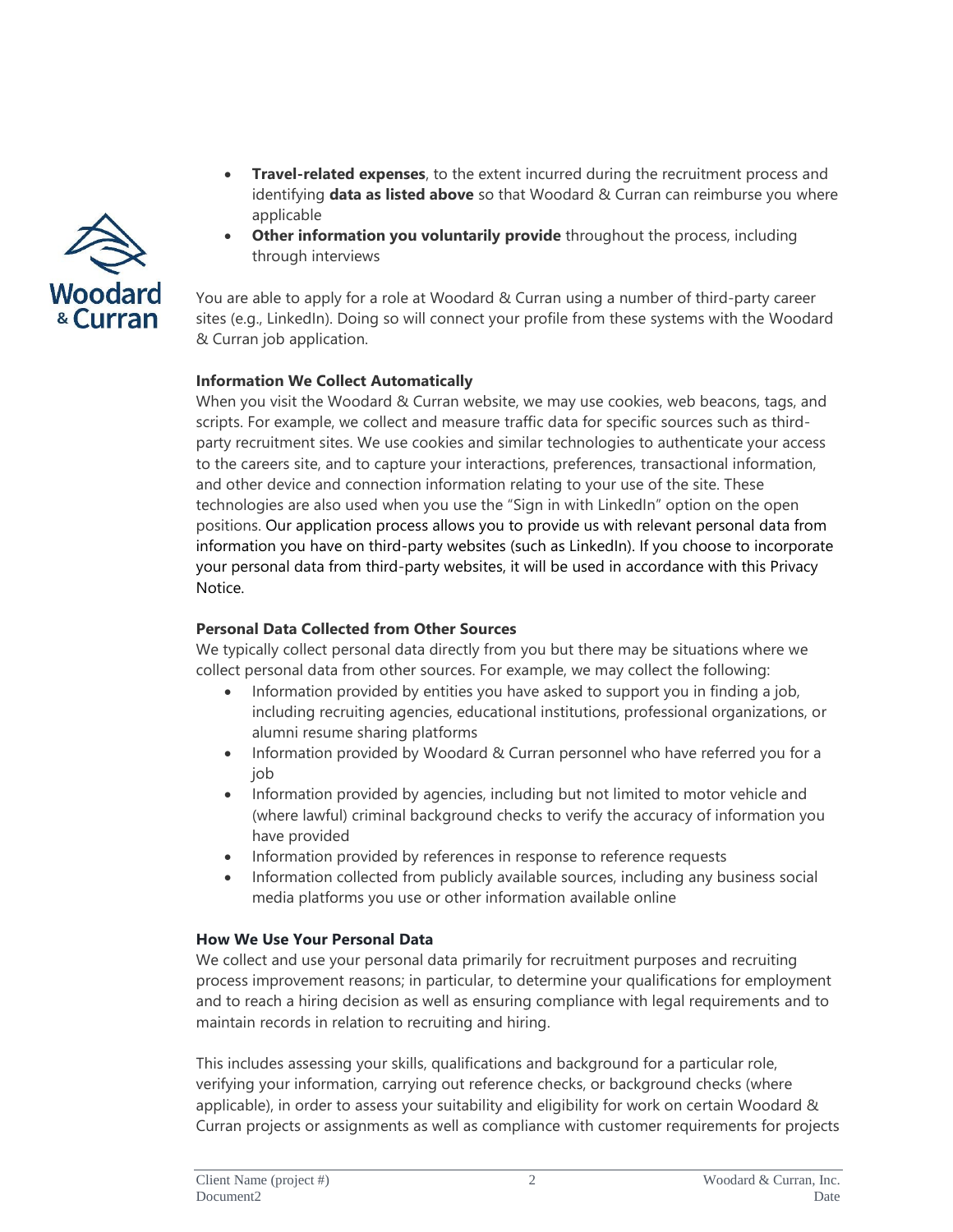

- **Travel-related expenses**, to the extent incurred during the recruitment process and identifying **data as listed above** so that Woodard & Curran can reimburse you where applicable
- **Other information you voluntarily provide** throughout the process, including through interviews

You are able to apply for a role at Woodard & Curran using a number of third-party career sites (e.g., LinkedIn). Doing so will connect your profile from these systems with the Woodard & Curran job application.

# **Information We Collect Automatically**

When you visit the Woodard & Curran website, we may use cookies, web beacons, tags, and scripts. For example, we collect and measure traffic data for specific sources such as thirdparty recruitment sites. We use cookies and similar technologies to authenticate your access to the careers site, and to capture your interactions, preferences, transactional information, and other device and connection information relating to your use of the site. These technologies are also used when you use the "Sign in with LinkedIn" option on the open positions. Our application process allows you to provide us with relevant personal data from information you have on third-party websites (such as LinkedIn). If you choose to incorporate your personal data from third-party websites, it will be used in accordance with this Privacy Notice.

# **Personal Data Collected from Other Sources**

We typically collect personal data directly from you but there may be situations where we collect personal data from other sources. For example, we may collect the following:

- Information provided by entities you have asked to support you in finding a job, including recruiting agencies, educational institutions, professional organizations, or alumni resume sharing platforms
- Information provided by Woodard & Curran personnel who have referred you for a job
- Information provided by agencies, including but not limited to motor vehicle and (where lawful) criminal background checks to verify the accuracy of information you have provided
- Information provided by references in response to reference requests
- Information collected from publicly available sources, including any business social media platforms you use or other information available online

#### **How We Use Your Personal Data**

We collect and use your personal data primarily for recruitment purposes and recruiting process improvement reasons; in particular, to determine your qualifications for employment and to reach a hiring decision as well as ensuring compliance with legal requirements and to maintain records in relation to recruiting and hiring.

This includes assessing your skills, qualifications and background for a particular role, verifying your information, carrying out reference checks, or background checks (where applicable), in order to assess your suitability and eligibility for work on certain Woodard & Curran projects or assignments as well as compliance with customer requirements for projects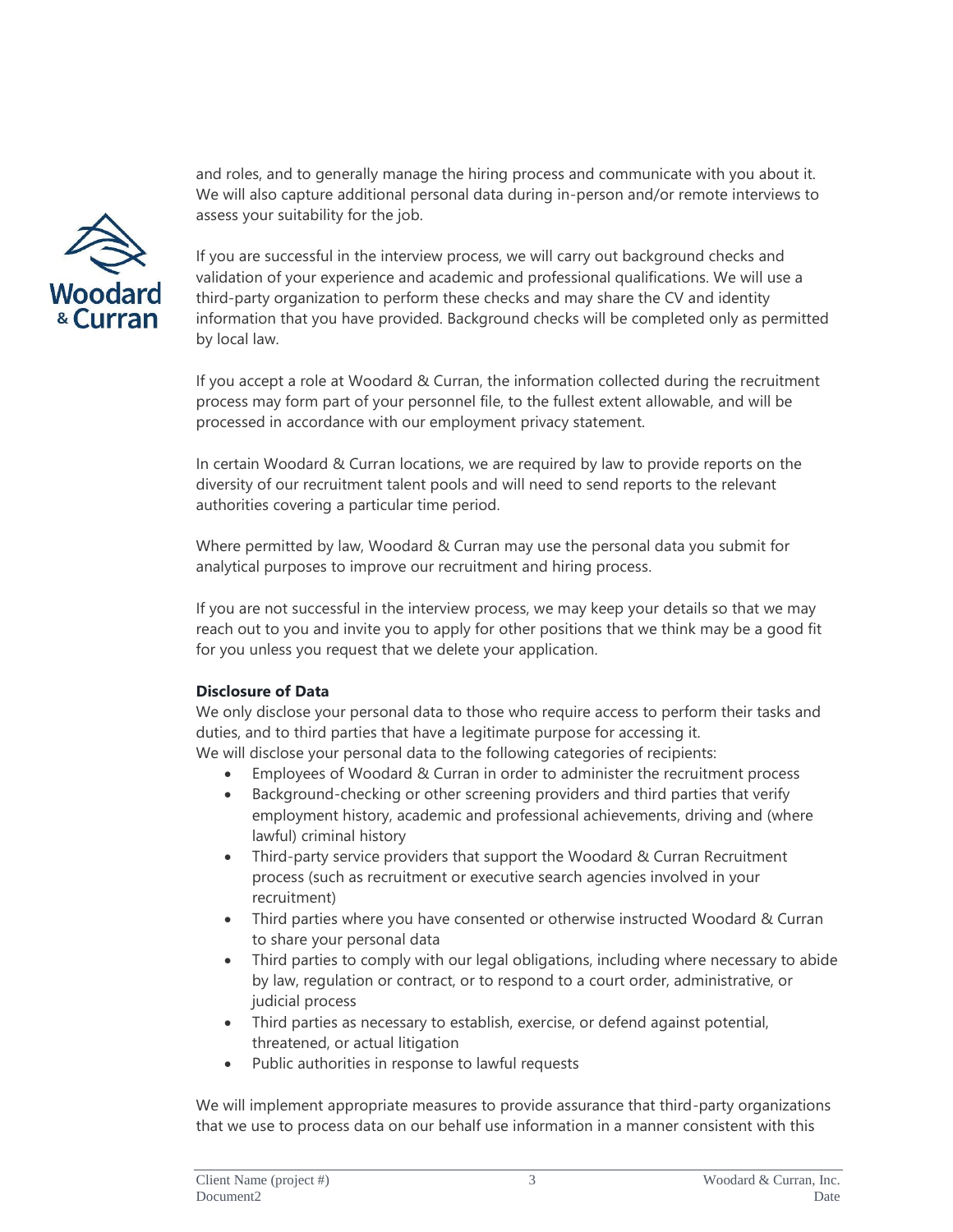and roles, and to generally manage the hiring process and communicate with you about it. We will also capture additional personal data during in-person and/or remote interviews to assess your suitability for the job.



If you are successful in the interview process, we will carry out background checks and validation of your experience and academic and professional qualifications. We will use a third-party organization to perform these checks and may share the CV and identity information that you have provided. Background checks will be completed only as permitted by local law.

If you accept a role at Woodard & Curran, the information collected during the recruitment process may form part of your personnel file, to the fullest extent allowable, and will be processed in accordance with our employment privacy statement.

In certain Woodard & Curran locations, we are required by law to provide reports on the diversity of our recruitment talent pools and will need to send reports to the relevant authorities covering a particular time period.

Where permitted by law, Woodard & Curran may use the personal data you submit for analytical purposes to improve our recruitment and hiring process.

If you are not successful in the interview process, we may keep your details so that we may reach out to you and invite you to apply for other positions that we think may be a good fit for you unless you request that we delete your application.

# **Disclosure of Data**

We only disclose your personal data to those who require access to perform their tasks and duties, and to third parties that have a legitimate purpose for accessing it. We will disclose your personal data to the following categories of recipients:

- Employees of Woodard & Curran in order to administer the recruitment process
- Background-checking or other screening providers and third parties that verify employment history, academic and professional achievements, driving and (where lawful) criminal history
- Third-party service providers that support the Woodard & Curran Recruitment process (such as recruitment or executive search agencies involved in your recruitment)
- Third parties where you have consented or otherwise instructed Woodard & Curran to share your personal data
- Third parties to comply with our legal obligations, including where necessary to abide by law, regulation or contract, or to respond to a court order, administrative, or judicial process
- Third parties as necessary to establish, exercise, or defend against potential, threatened, or actual litigation
- Public authorities in response to lawful requests

We will implement appropriate measures to provide assurance that third-party organizations that we use to process data on our behalf use information in a manner consistent with this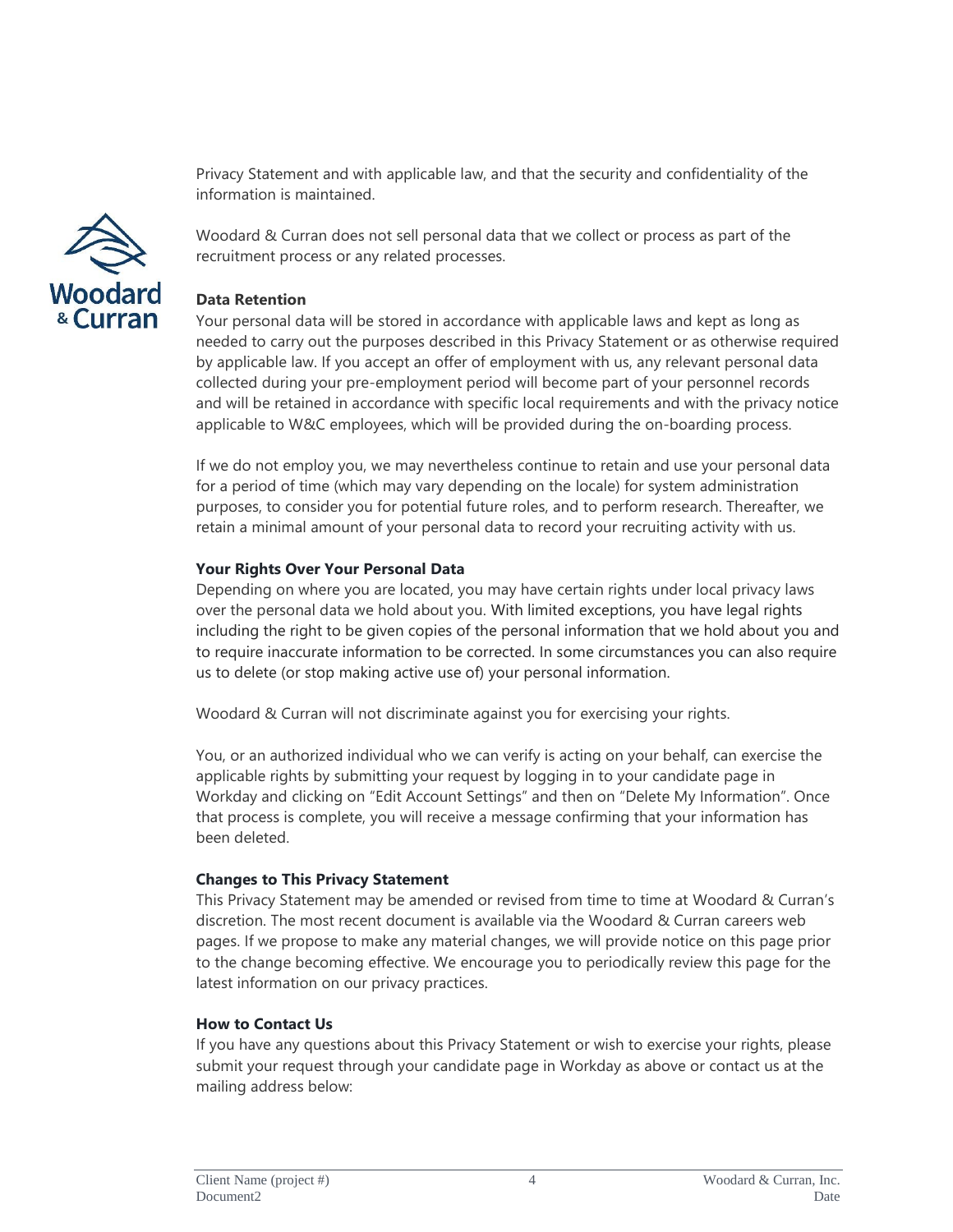Privacy Statement and with applicable law, and that the security and confidentiality of the information is maintained.



Woodard & Curran does not sell personal data that we collect or process as part of the recruitment process or any related processes.

# **Data Retention**

Your personal data will be stored in accordance with applicable laws and kept as long as needed to carry out the purposes described in this Privacy Statement or as otherwise required by applicable law. If you accept an offer of employment with us, any relevant personal data collected during your pre-employment period will become part of your personnel records and will be retained in accordance with specific local requirements and with the privacy notice applicable to W&C employees, which will be provided during the on-boarding process.

If we do not employ you, we may nevertheless continue to retain and use your personal data for a period of time (which may vary depending on the locale) for system administration purposes, to consider you for potential future roles, and to perform research. Thereafter, we retain a minimal amount of your personal data to record your recruiting activity with us.

### **Your Rights Over Your Personal Data**

Depending on where you are located, you may have certain rights under local privacy laws over the personal data we hold about you. With limited exceptions, you have legal rights including the right to be given copies of the personal information that we hold about you and to require inaccurate information to be corrected. In some circumstances you can also require us to delete (or stop making active use of) your personal information.

Woodard & Curran will not discriminate against you for exercising your rights.

You, or an authorized individual who we can verify is acting on your behalf, can exercise the applicable rights by submitting your request by logging in to your candidate page in Workday and clicking on "Edit Account Settings" and then on "Delete My Information". Once that process is complete, you will receive a message confirming that your information has been deleted.

#### **Changes to This Privacy Statement**

This Privacy Statement may be amended or revised from time to time at Woodard & Curran's discretion. The most recent document is available via the Woodard & Curran careers web pages. If we propose to make any material changes, we will provide notice on this page prior to the change becoming effective. We encourage you to periodically review this page for the latest information on our privacy practices.

#### **How to Contact Us**

If you have any questions about this Privacy Statement or wish to exercise your rights, please submit your request through your candidate page in Workday as above or contact us at the mailing address below: